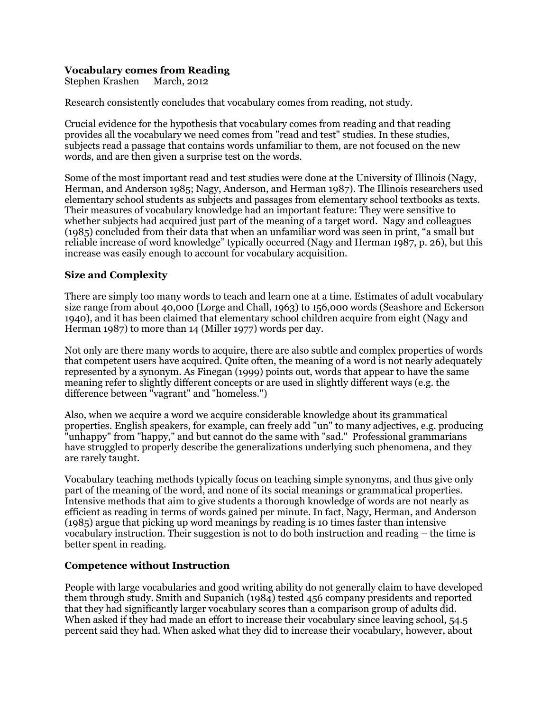### **Vocabulary comes from Reading**

Stephen Krashen March, 2012

Research consistently concludes that vocabulary comes from reading, not study.

Crucial evidence for the hypothesis that vocabulary comes from reading and that reading provides all the vocabulary we need comes from "read and test" studies. In these studies, subjects read a passage that contains words unfamiliar to them, are not focused on the new words, and are then given a surprise test on the words.

Some of the most important read and test studies were done at the University of Illinois (Nagy, Herman, and Anderson 1985; Nagy, Anderson, and Herman 1987). The Illinois researchers used elementary school students as subjects and passages from elementary school textbooks as texts. Their measures of vocabulary knowledge had an important feature: They were sensitive to whether subjects had acquired just part of the meaning of a target word. Nagy and colleagues (1985) concluded from their data that when an unfamiliar word was seen in print, "a small but reliable increase of word knowledge" typically occurred (Nagy and Herman 1987, p. 26), but this increase was easily enough to account for vocabulary acquisition.

### **Size and Complexity**

There are simply too many words to teach and learn one at a time. Estimates of adult vocabulary size range from about 40,000 (Lorge and Chall, 1963) to 156,000 words (Seashore and Eckerson 1940), and it has been claimed that elementary school children acquire from eight (Nagy and Herman 1987) to more than 14 (Miller 1977) words per day.

Not only are there many words to acquire, there are also subtle and complex properties of words that competent users have acquired. Quite often, the meaning of a word is not nearly adequately represented by a synonym. As Finegan (1999) points out, words that appear to have the same meaning refer to slightly different concepts or are used in slightly different ways (e.g. the difference between "vagrant" and "homeless.")

Also, when we acquire a word we acquire considerable knowledge about its grammatical properties. English speakers, for example, can freely add "un" to many adjectives, e.g. producing "unhappy" from "happy," and but cannot do the same with "sad." Professional grammarians have struggled to properly describe the generalizations underlying such phenomena, and they are rarely taught.

Vocabulary teaching methods typically focus on teaching simple synonyms, and thus give only part of the meaning of the word, and none of its social meanings or grammatical properties. Intensive methods that aim to give students a thorough knowledge of words are not nearly as efficient as reading in terms of words gained per minute. In fact, Nagy, Herman, and Anderson (1985) argue that picking up word meanings by reading is 10 times faster than intensive vocabulary instruction. Their suggestion is not to do both instruction and reading – the time is better spent in reading.

### **Competence without Instruction**

People with large vocabularies and good writing ability do not generally claim to have developed them through study. Smith and Supanich (1984) tested 456 company presidents and reported that they had significantly larger vocabulary scores than a comparison group of adults did. When asked if they had made an effort to increase their vocabulary since leaving school, 54.5 percent said they had. When asked what they did to increase their vocabulary, however, about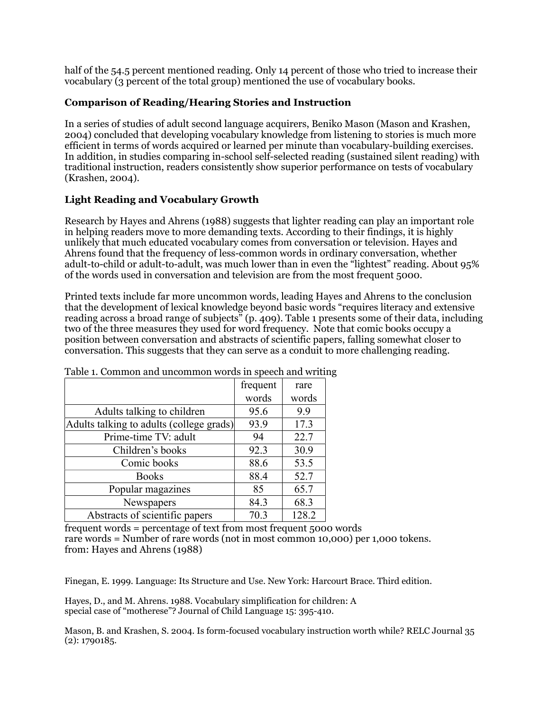half of the 54.5 percent mentioned reading. Only 14 percent of those who tried to increase their vocabulary (3 percent of the total group) mentioned the use of vocabulary books.

# **Comparison of Reading/Hearing Stories and Instruction**

In a series of studies of adult second language acquirers, Beniko Mason (Mason and Krashen, 2004) concluded that developing vocabulary knowledge from listening to stories is much more efficient in terms of words acquired or learned per minute than vocabulary-building exercises. In addition, in studies comparing in-school self-selected reading (sustained silent reading) with traditional instruction, readers consistently show superior performance on tests of vocabulary (Krashen, 2004).

## **Light Reading and Vocabulary Growth**

Research by Hayes and Ahrens (1988) suggests that lighter reading can play an important role in helping readers move to more demanding texts. According to their findings, it is highly unlikely that much educated vocabulary comes from conversation or television. Hayes and Ahrens found that the frequency of less-common words in ordinary conversation, whether adult-to-child or adult-to-adult, was much lower than in even the "lightest" reading. About 95% of the words used in conversation and television are from the most frequent 5000.

Printed texts include far more uncommon words, leading Hayes and Ahrens to the conclusion that the development of lexical knowledge beyond basic words "requires literacy and extensive reading across a broad range of subjects" (p. 409). Table 1 presents some of their data, including two of the three measures they used for word frequency. Note that comic books occupy a position between conversation and abstracts of scientific papers, falling somewhat closer to conversation. This suggests that they can serve as a conduit to more challenging reading.

|                                          | frequent | rare  |
|------------------------------------------|----------|-------|
|                                          | words    | words |
| Adults talking to children               | 95.6     | 9.9   |
| Adults talking to adults (college grads) | 93.9     | 17.3  |
| Prime-time TV: adult                     | 94       | 22.7  |
| Children's books                         | 92.3     | 30.9  |
| Comic books                              | 88.6     | 53.5  |
| <b>Books</b>                             | 88.4     | 52.7  |
| Popular magazines                        | 85       | 65.7  |
| Newspapers                               | 84.3     | 68.3  |
| Abstracts of scientific papers           | 70.3     | 128.2 |

Table 1. Common and uncommon words in speech and writing

frequent words = percentage of text from most frequent 5000 words rare words = Number of rare words (not in most common 10,000) per 1,000 tokens. from: Hayes and Ahrens (1988)

Finegan, E. 1999. Language: Its Structure and Use. New York: Harcourt Brace. Third edition.

Hayes, D., and M. Ahrens. 1988. Vocabulary simplification for children: A special case of "motherese"? Journal of Child Language 15: 395-410.

Mason, B. and Krashen, S. 2004. Is form-focused vocabulary instruction worth while? RELC Journal 35 (2): 1790185.